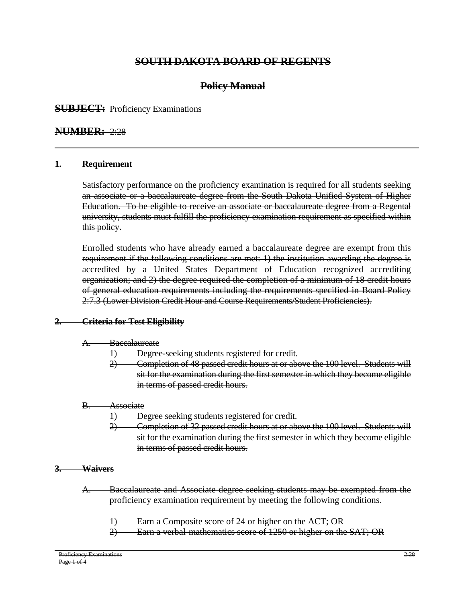# **SOUTH DAKOTA BOARD OF REGENTS**

# **Policy Manual**

# **SUBJECT:** Proficiency Examinations

# **NUMBER:** 2:28

### **1. Requirement**

Satisfactory performance on the proficiency examination is required for all students seeking an associate or a baccalaureate degree from the South Dakota Unified System of Higher Education. To be eligible to receive an associate or baccalaureate degree from a Regental university, students must fulfill the proficiency examination requirement as specified within this policy.

Enrolled students who have already earned a baccalaureate degree are exempt from this requirement if the following conditions are met: 1) the institution awarding the degree is accredited by a United States Department of Education recognized accrediting organization; and 2) the degree required the completion of a minimum of 18 credit hours of general education requirements including the requirements specified in Board Policy 2:7.3 (Lower Division Credit Hour and Course Requirements/Student Proficiencies**)**.

# **2. Criteria for Test Eligibility**

### A. Baccalaureate

- **1) Degree-seeking students registered for credit.**
- 2) Completion of 48 passed credit hours at or above the 100 level. Students will sit for the examination during the first semester in which they become eligible in terms of passed credit hours.

### B. Associate

- 1) Degree seeking students registered for credit.
- 2) Completion of 32 passed credit hours at or above the 100 level. Students will sit for the examination during the first semester in which they become eligible in terms of passed credit hours.

### **3. Waivers**

- A. Baccalaureate and Associate degree seeking students may be exempted from the proficiency examination requirement by meeting the following conditions.
	- Earn a Composite score of 24 or higher on the ACT; OR
	- 2) Earn a verbal-mathematics score of 1250 or higher on the SAT; OR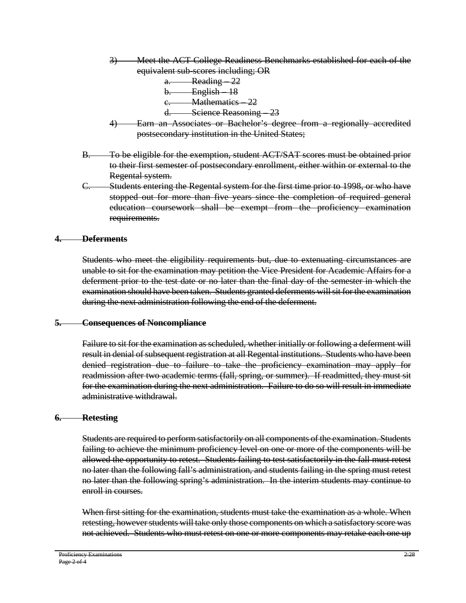- 3) Meet the ACT College Readiness Benchmarks established for each of the equivalent sub-scores including; OR
	- a. Reading 22 b. English – 18 Mathematics – 22 d. Science Reasoning – 23
- 4) Earn an Associates or Bachelor's degree from a regionally accredited postsecondary institution in the United States;
- B. To be eligible for the exemption, student ACT/SAT scores must be obtained prior to their first semester of postsecondary enrollment, either within or external to the Regental system.
- C. Students entering the Regental system for the first time prior to 1998, or who have stopped out for more than five years since the completion of required general education coursework shall be exempt from the proficiency examination requirements.

# **4. Deferments**

Students who meet the eligibility requirements but, due to extenuating circumstances are unable to sit for the examination may petition the Vice President for Academic Affairs for a deferment prior to the test date or no later than the final day of the semester in which the examination should have been taken. Students granted deferments will sit for the examination during the next administration following the end of the deferment.

# **5. Consequences of Noncompliance**

Failure to sit for the examination as scheduled, whether initially or following a deferment will result in denial of subsequent registration at all Regental institutions. Students who have been denied registration due to failure to take the proficiency examination may apply for readmission after two academic terms (fall, spring, or summer). If readmitted, they must sit for the examination during the next administration. Failure to do so will result in immediate administrative withdrawal.

# **6. Retesting**

Students are required to perform satisfactorily on all components of the examination. Students failing to achieve the minimum proficiency level on one or more of the components will be allowed the opportunity to retest. Students failing to test satisfactorily in the fall must retest no later than the following fall's administration, and students failing in the spring must retest no later than the following spring's administration. In the interim students may continue to enroll in courses.

When first sitting for the examination, students must take the examination as a whole. When retesting, however students will take only those components on which a satisfactory score was not achieved. Students who must retest on one or more components may retake each one up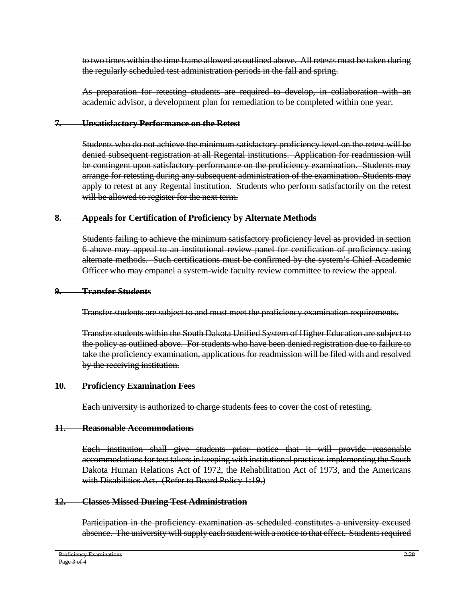to two times within the time frame allowed as outlined above. All retests must be taken during the regularly scheduled test administration periods in the fall and spring.

As preparation for retesting students are required to develop, in collaboration with an academic advisor, a development plan for remediation to be completed within one year.

### **7. Unsatisfactory Performance on the Retest**

Students who do not achieve the minimum satisfactory proficiency level on the retest will be denied subsequent registration at all Regental institutions. Application for readmission will be contingent upon satisfactory performance on the proficiency examination. Students may arrange for retesting during any subsequent administration of the examination. Students may apply to retest at any Regental institution. Students who perform satisfactorily on the retest will be allowed to register for the next term.

# **8. Appeals for Certification of Proficiency by Alternate Methods**

Students failing to achieve the minimum satisfactory proficiency level as provided in section 6 above may appeal to an institutional review panel for certification of proficiency using alternate methods. Such certifications must be confirmed by the system's Chief Academic Officer who may empanel a system-wide faculty review committee to review the appeal.

### **9. Transfer Students**

Transfer students are subject to and must meet the proficiency examination requirements.

Transfer students within the South Dakota Unified System of Higher Education are subject to the policy as outlined above. For students who have been denied registration due to failure to take the proficiency examination, applications for readmission will be filed with and resolved by the receiving institution.

### **10. Proficiency Examination Fees**

Each university is authorized to charge students fees to cover the cost of retesting.

### **11. Reasonable Accommodations**

Each institution shall give students prior notice that it will provide reasonable accommodations for test takers in keeping with institutional practices implementing the South Dakota Human Relations Act of 1972, the Rehabilitation Act of 1973, and the Americans with Disabilities Act. (Refer to Board Policy 1:19.)

# **12. Classes Missed During Test Administration**

Participation in the proficiency examination as scheduled constitutes a university excused absence. The university will supply each student with a notice to that effect. Students required